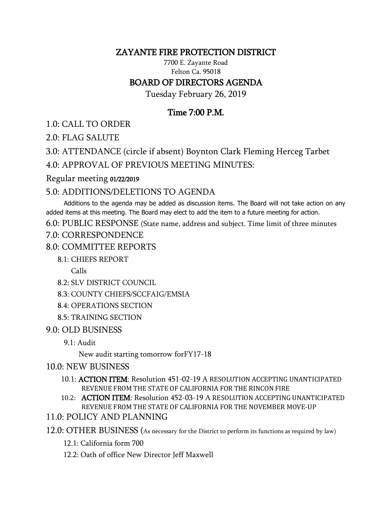# ZAYANTE FIRE PROTECTION DISTRICT

7700 E. Zayante Road Felton Ca. 95018

# BOARD OF DIRECTORS AGENDA

Tuesday February 26, 2019

# Time 7:00 P.M.

1.0: CALL TO ORDER

2.0: FLAG SALUTE

3.0: ATTENDANCE (circle if absent) Boynton Clark Fleming Herceg Tarbet

4.0: APPROVAL OF PREVIOUS MEETING MINUTES:

#### Regular meeting 01/22/2019

## 5.0: ADDITIONS/DELETIONS TO AGENDA

 Additions to the agenda may be added as discussion items. The Board will not take action on any added items at this meeting. The Board may elect to add the item to a future meeting for action.

6.0: PUBLIC RESPONSE (State name, address and subject. Time limit of three minutes

#### 7.0: CORRESPONDENCE

## 8.0: COMMITTEE REPORTS

### 8.1: CHIEFS REPORT

Calls

- 8.2: SLV DISTRICT COUNCIL
- 8.3: COUNTY CHIEFS/SCCFAIG/EMSIA
- 8.4: OPERATIONS SECTION
- 8.5: TRAINING SECTION

### 9.0: OLD BUSINESS

9.1: Audit

New audit starting tomorrow forFY17-18

### 10.0: NEW BUSINESS

- 10.1: ACTION ITEM: Resolution 451-02-19 A RESOLUTION ACCEPTING UNANTICIPATED REVENUE FROM THE STATE OF CALIFORNIA FOR THE RINCON FIRE
- 10.2: ACTION ITEM: Resolution 452-03-19 A RESOLUTION ACCEPTING UNANTICIPATED REVENUE FROM THE STATE OF CALIFORNIA FOR THE NOVEMBER MOVE-UP

### 11.0: POLICY AND PLANNING

- 12.0: OTHER BUSINESS (As necessary for the District to perform its functions as required by law)
	- 12.1: California form 700
	- 12.2: Oath of office New Director Jeff Maxwell